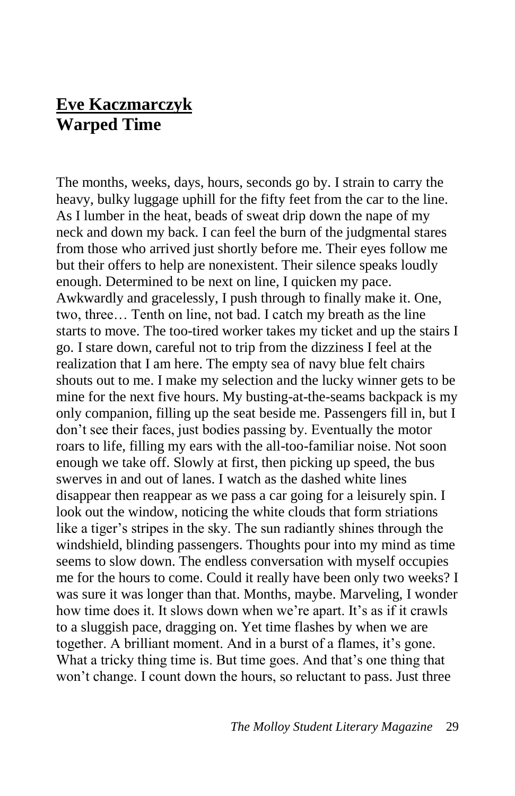## **Eve Kaczmarczyk Warped Time**

The months, weeks, days, hours, seconds go by. I strain to carry the heavy, bulky luggage uphill for the fifty feet from the car to the line. As I lumber in the heat, beads of sweat drip down the nape of my neck and down my back. I can feel the burn of the judgmental stares from those who arrived just shortly before me. Their eyes follow me but their offers to help are nonexistent. Their silence speaks loudly enough. Determined to be next on line, I quicken my pace. Awkwardly and gracelessly, I push through to finally make it. One, two, three… Tenth on line, not bad. I catch my breath as the line starts to move. The too-tired worker takes my ticket and up the stairs I go. I stare down, careful not to trip from the dizziness I feel at the realization that I am here. The empty sea of navy blue felt chairs shouts out to me. I make my selection and the lucky winner gets to be mine for the next five hours. My busting-at-the-seams backpack is my only companion, filling up the seat beside me. Passengers fill in, but I don't see their faces, just bodies passing by. Eventually the motor roars to life, filling my ears with the all-too-familiar noise. Not soon enough we take off. Slowly at first, then picking up speed, the bus swerves in and out of lanes. I watch as the dashed white lines disappear then reappear as we pass a car going for a leisurely spin. I look out the window, noticing the white clouds that form striations like a tiger's stripes in the sky. The sun radiantly shines through the windshield, blinding passengers. Thoughts pour into my mind as time seems to slow down. The endless conversation with myself occupies me for the hours to come. Could it really have been only two weeks? I was sure it was longer than that. Months, maybe. Marveling, I wonder how time does it. It slows down when we're apart. It's as if it crawls to a sluggish pace, dragging on. Yet time flashes by when we are together. A brilliant moment. And in a burst of a flames, it's gone. What a tricky thing time is. But time goes. And that's one thing that won't change. I count down the hours, so reluctant to pass. Just three